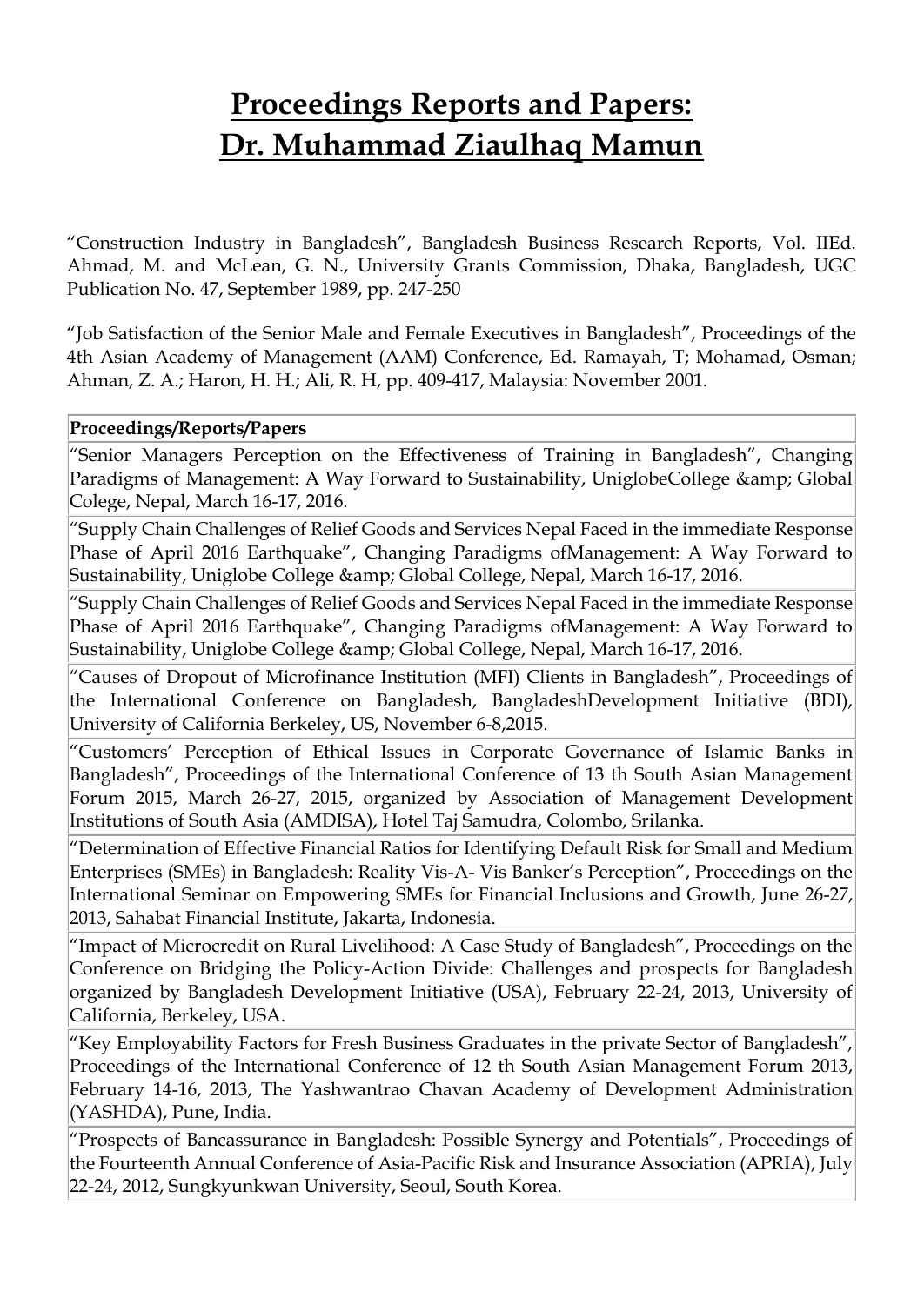## **Proceedings Reports and Papers: Dr. Muhammad Ziaulhaq Mamun**

"Construction Industry in Bangladesh", Bangladesh Business Research Reports, Vol. IIEd. Ahmad, M. and McLean, G. N., University Grants Commission, Dhaka, Bangladesh, UGC Publication No. 47, September 1989, pp. 247-250

"Job Satisfaction of the Senior Male and Female Executives in Bangladesh", Proceedings of the 4th Asian Academy of Management (AAM) Conference, Ed. Ramayah, T; Mohamad, Osman; Ahman, Z. A.; Haron, H. H.; Ali, R. H, pp. 409-417, Malaysia: November 2001.

## **Proceedings/Reports/Papers**

"Senior Managers Perception on the Effectiveness of Training in Bangladesh", Changing Paradigms of Management: A Way Forward to Sustainability, UniglobeCollege & amp; Global Colege, Nepal, March 16-17, 2016.

"Supply Chain Challenges of Relief Goods and Services Nepal Faced in the immediate Response Phase of April 2016 Earthquake", Changing Paradigms ofManagement: A Way Forward to Sustainability, Uniglobe College & amp; Global College, Nepal, March 16-17, 2016.

"Supply Chain Challenges of Relief Goods and Services Nepal Faced in the immediate Response Phase of April 2016 Earthquake", Changing Paradigms ofManagement: A Way Forward to Sustainability, Uniglobe College & amp; Global College, Nepal, March 16-17, 2016.

"Causes of Dropout of Microfinance Institution (MFI) Clients in Bangladesh", Proceedings of the International Conference on Bangladesh, BangladeshDevelopment Initiative (BDI), University of California Berkeley, US, November 6-8,2015.

"Customers' Perception of Ethical Issues in Corporate Governance of Islamic Banks in Bangladesh", Proceedings of the International Conference of 13 th South Asian Management Forum 2015, March 26-27, 2015, organized by Association of Management Development Institutions of South Asia (AMDISA), Hotel Taj Samudra, Colombo, Srilanka.

"Determination of Effective Financial Ratios for Identifying Default Risk for Small and Medium Enterprises (SMEs) in Bangladesh: Reality Vis-A- Vis Banker's Perception", Proceedings on the International Seminar on Empowering SMEs for Financial Inclusions and Growth, June 26-27, 2013, Sahabat Financial Institute, Jakarta, Indonesia.

"Impact of Microcredit on Rural Livelihood: A Case Study of Bangladesh", Proceedings on the Conference on Bridging the Policy-Action Divide: Challenges and prospects for Bangladesh organized by Bangladesh Development Initiative (USA), February 22-24, 2013, University of California, Berkeley, USA.

"Key Employability Factors for Fresh Business Graduates in the private Sector of Bangladesh", Proceedings of the International Conference of 12 th South Asian Management Forum 2013, February 14-16, 2013, The Yashwantrao Chavan Academy of Development Administration (YASHDA), Pune, India.

"Prospects of Bancassurance in Bangladesh: Possible Synergy and Potentials", Proceedings of the Fourteenth Annual Conference of Asia-Pacific Risk and Insurance Association (APRIA), July 22-24, 2012, Sungkyunkwan University, Seoul, South Korea.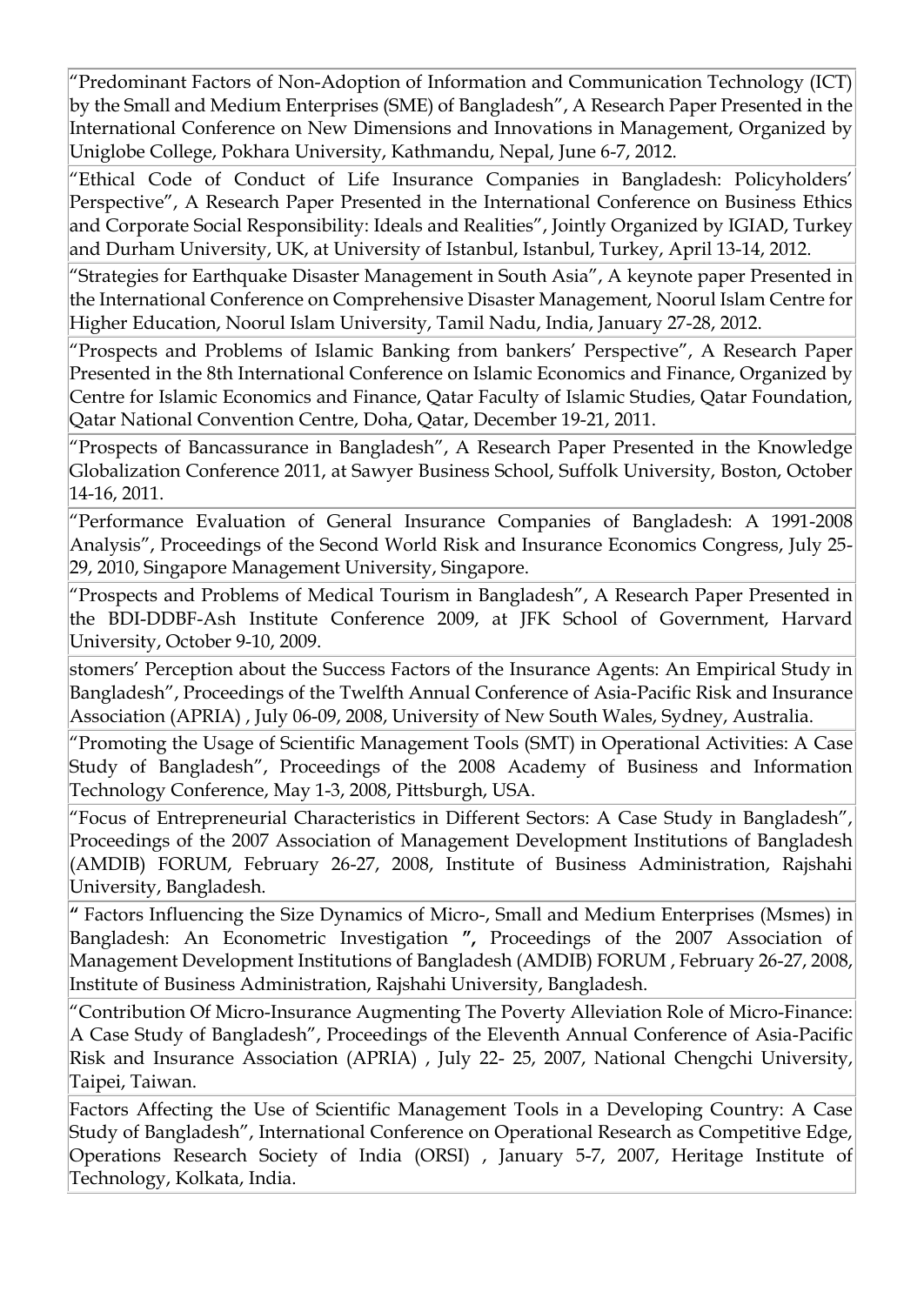"Predominant Factors of Non-Adoption of Information and Communication Technology (ICT) by the Small and Medium Enterprises (SME) of Bangladesh", A Research Paper Presented in the International Conference on New Dimensions and Innovations in Management, Organized by Uniglobe College, Pokhara University, Kathmandu, Nepal, June 6-7, 2012.

"Ethical Code of Conduct of Life Insurance Companies in Bangladesh: Policyholders' Perspective", A Research Paper Presented in the International Conference on Business Ethics and Corporate Social Responsibility: Ideals and Realities", Jointly Organized by IGIAD, Turkey and Durham University, UK, at University of Istanbul, Istanbul, Turkey, April 13-14, 2012.

"Strategies for Earthquake Disaster Management in South Asia", A keynote paper Presented in the International Conference on Comprehensive Disaster Management, Noorul Islam Centre for Higher Education, Noorul Islam University, Tamil Nadu, India, January 27-28, 2012.

"Prospects and Problems of Islamic Banking from bankers' Perspective", A Research Paper Presented in the 8th International Conference on Islamic Economics and Finance, Organized by Centre for Islamic Economics and Finance, Qatar Faculty of Islamic Studies, Qatar Foundation, Qatar National Convention Centre, Doha, Qatar, December 19-21, 2011.

"Prospects of Bancassurance in Bangladesh", A Research Paper Presented in the Knowledge Globalization Conference 2011, at Sawyer Business School, Suffolk University, Boston, October 14-16, 2011.

"Performance Evaluation of General Insurance Companies of Bangladesh: A 1991-2008 Analysis", Proceedings of the Second World Risk and Insurance Economics Congress, July 25- 29, 2010, Singapore Management University, Singapore.

"Prospects and Problems of Medical Tourism in Bangladesh", A Research Paper Presented in the BDI-DDBF-Ash Institute Conference 2009, at JFK School of Government, Harvard University, October 9-10, 2009.

stomers' Perception about the Success Factors of the Insurance Agents: An Empirical Study in Bangladesh", Proceedings of the Twelfth Annual Conference of Asia-Pacific Risk and Insurance Association (APRIA) , July 06-09, 2008, University of New South Wales, Sydney, Australia.

"Promoting the Usage of Scientific Management Tools (SMT) in Operational Activities: A Case Study of Bangladesh", Proceedings of the 2008 Academy of Business and Information Technology Conference, May 1-3, 2008, Pittsburgh, USA.

"Focus of Entrepreneurial Characteristics in Different Sectors: A Case Study in Bangladesh", Proceedings of the 2007 Association of Management Development Institutions of Bangladesh (AMDIB) FORUM, February 26-27, 2008, Institute of Business Administration, Rajshahi University, Bangladesh.

**"** Factors Influencing the Size Dynamics of Micro-, Small and Medium Enterprises (Msmes) in Bangladesh: An Econometric Investigation **",** Proceedings of the 2007 Association of Management Development Institutions of Bangladesh (AMDIB) FORUM , February 26-27, 2008, Institute of Business Administration, Rajshahi University, Bangladesh.

"Contribution Of Micro-Insurance Augmenting The Poverty Alleviation Role of Micro-Finance: A Case Study of Bangladesh", Proceedings of the Eleventh Annual Conference of Asia-Pacific Risk and Insurance Association (APRIA) , July 22- 25, 2007, National Chengchi University, Taipei, Taiwan.

Factors Affecting the Use of Scientific Management Tools in a Developing Country: A Case Study of Bangladesh", International Conference on Operational Research as Competitive Edge, Operations Research Society of India (ORSI) , January 5-7, 2007, Heritage Institute of Technology, Kolkata, India.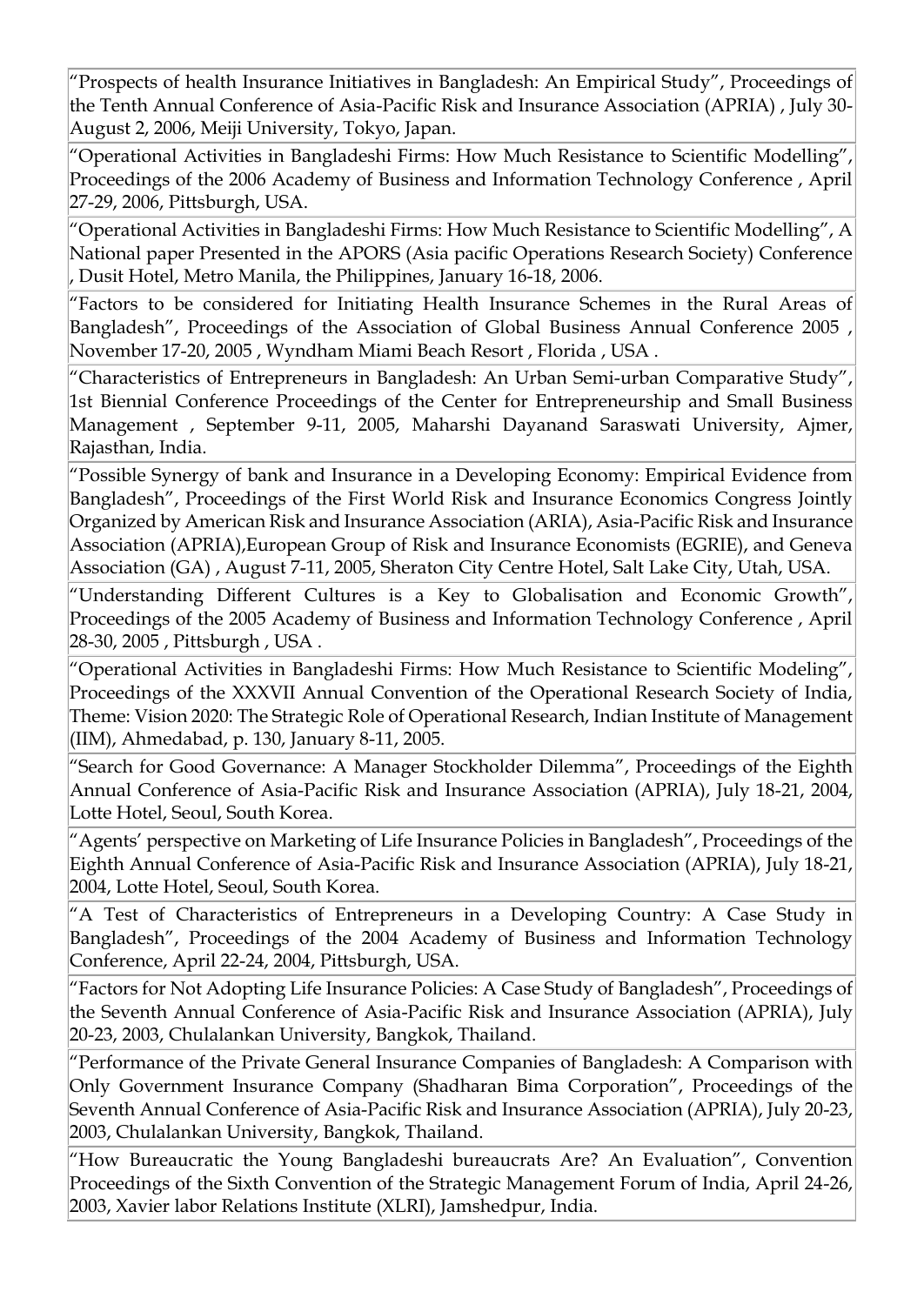"Prospects of health Insurance Initiatives in Bangladesh: An Empirical Study", Proceedings of the Tenth Annual Conference of Asia-Pacific Risk and Insurance Association (APRIA) , July 30- August 2, 2006, Meiji University, Tokyo, Japan.

"Operational Activities in Bangladeshi Firms: How Much Resistance to Scientific Modelling", Proceedings of the 2006 Academy of Business and Information Technology Conference , April 27-29, 2006, Pittsburgh, USA.

 $"$ Operational Activities in Bangladeshi Firms: How Much Resistance to Scientific Modelling", A National paper Presented in the APORS (Asia pacific Operations Research Society) Conference , Dusit Hotel, Metro Manila, the Philippines, January 16-18, 2006.

"Factors to be considered for Initiating Health Insurance Schemes in the Rural Areas of Bangladesh", Proceedings of the Association of Global Business Annual Conference 2005 , November 17-20, 2005 , Wyndham Miami Beach Resort , Florida , USA .

"Characteristics of Entrepreneurs in Bangladesh: An Urban Semi-urban Comparative Study", 1st Biennial Conference Proceedings of the Center for Entrepreneurship and Small Business Management , September 9-11, 2005, Maharshi Dayanand Saraswati University, Ajmer, Rajasthan, India.

"Possible Synergy of bank and Insurance in a Developing Economy: Empirical Evidence from Bangladesh", Proceedings of the First World Risk and Insurance Economics Congress Jointly Organized by American Risk and Insurance Association (ARIA), Asia-Pacific Risk and Insurance Association (APRIA),European Group of Risk and Insurance Economists (EGRIE), and Geneva Association (GA) , August 7-11, 2005, Sheraton City Centre Hotel, Salt Lake City, Utah, USA.

"Understanding Different Cultures is a Key to Globalisation and Economic Growth", Proceedings of the 2005 Academy of Business and Information Technology Conference , April 28-30, 2005 , Pittsburgh , USA .

"Operational Activities in Bangladeshi Firms: How Much Resistance to Scientific Modeling", Proceedings of the XXXVII Annual Convention of the Operational Research Society of India, Theme: Vision 2020: The Strategic Role of Operational Research, Indian Institute of Management (IIM), Ahmedabad, p. 130, January 8-11, 2005.

"Search for Good Governance: A Manager Stockholder Dilemma", Proceedings of the Eighth Annual Conference of Asia-Pacific Risk and Insurance Association (APRIA), July 18-21, 2004, Lotte Hotel, Seoul, South Korea.

"Agents' perspective on Marketing of Life Insurance Policies in Bangladesh", Proceedings of the Eighth Annual Conference of Asia-Pacific Risk and Insurance Association (APRIA), July 18-21, 2004, Lotte Hotel, Seoul, South Korea.

"A Test of Characteristics of Entrepreneurs in a Developing Country: A Case Study in Bangladesh", Proceedings of the 2004 Academy of Business and Information Technology Conference, April 22-24, 2004, Pittsburgh, USA.

"Factors for Not Adopting Life Insurance Policies: A Case Study of Bangladesh", Proceedings of the Seventh Annual Conference of Asia-Pacific Risk and Insurance Association (APRIA), July 20-23, 2003, Chulalankan University, Bangkok, Thailand.

"Performance of the Private General Insurance Companies of Bangladesh: A Comparison with Only Government Insurance Company (Shadharan Bima Corporation", Proceedings of the Seventh Annual Conference of Asia-Pacific Risk and Insurance Association (APRIA), July 20-23, 2003, Chulalankan University, Bangkok, Thailand.

"How Bureaucratic the Young Bangladeshi bureaucrats Are? An Evaluation", Convention Proceedings of the Sixth Convention of the Strategic Management Forum of India, April 24-26, 2003, Xavier labor Relations Institute (XLRI), Jamshedpur, India.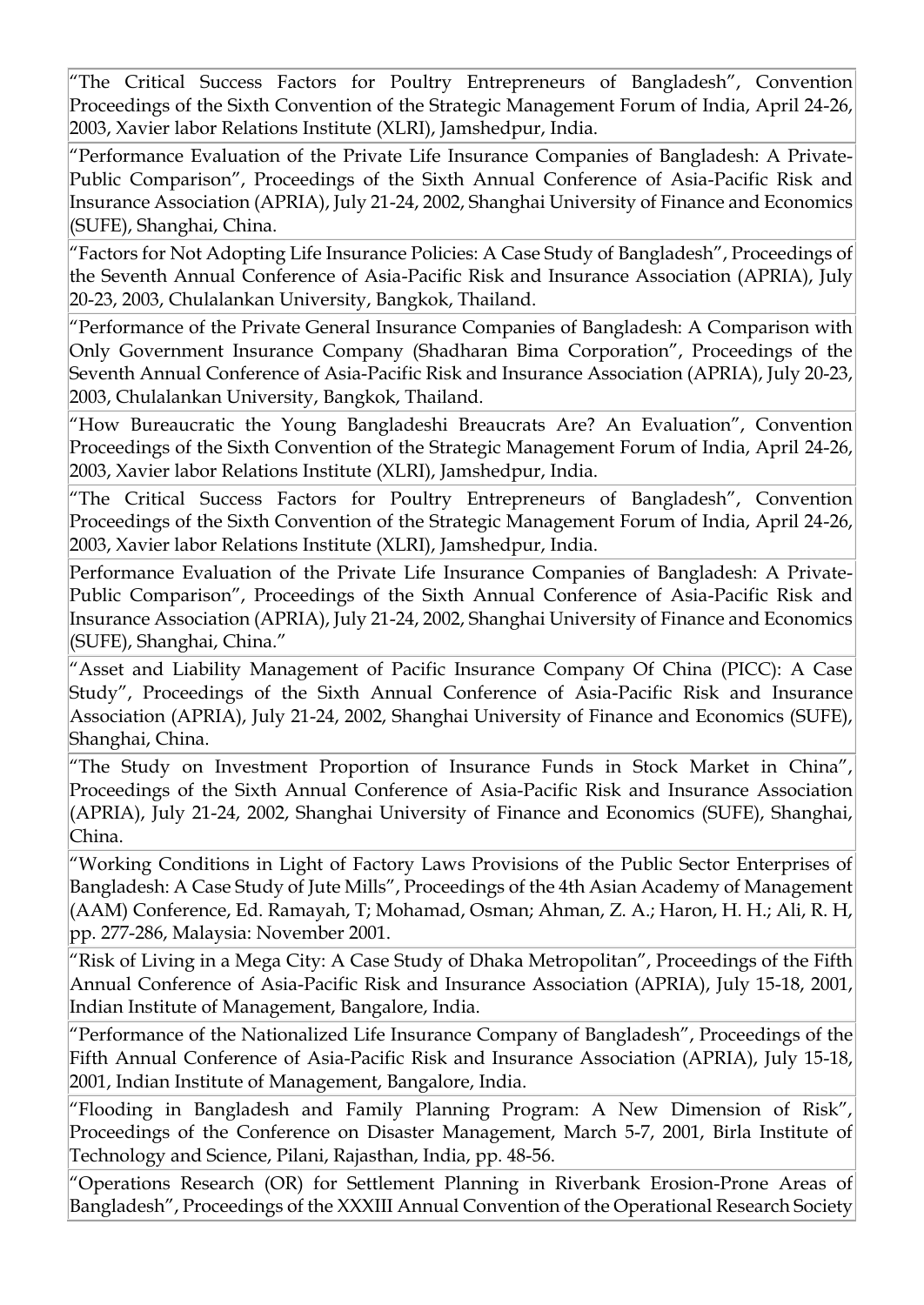"The Critical Success Factors for Poultry Entrepreneurs of Bangladesh", Convention Proceedings of the Sixth Convention of the Strategic Management Forum of India, April 24-26, 2003, Xavier labor Relations Institute (XLRI), Jamshedpur, India.

"Performance Evaluation of the Private Life Insurance Companies of Bangladesh: A Private-Public Comparison", Proceedings of the Sixth Annual Conference of Asia-Pacific Risk and Insurance Association (APRIA), July 21-24, 2002, Shanghai University of Finance and Economics (SUFE), Shanghai, China.

"Factors for Not Adopting Life Insurance Policies: A Case Study of Bangladesh", Proceedings of the Seventh Annual Conference of Asia-Pacific Risk and Insurance Association (APRIA), July 20-23, 2003, Chulalankan University, Bangkok, Thailand.

"Performance of the Private General Insurance Companies of Bangladesh: A Comparison with Only Government Insurance Company (Shadharan Bima Corporation", Proceedings of the Seventh Annual Conference of Asia-Pacific Risk and Insurance Association (APRIA), July 20-23, 2003, Chulalankan University, Bangkok, Thailand.

"How Bureaucratic the Young Bangladeshi Breaucrats Are? An Evaluation", Convention Proceedings of the Sixth Convention of the Strategic Management Forum of India, April 24-26, 2003, Xavier labor Relations Institute (XLRI), Jamshedpur, India.

"The Critical Success Factors for Poultry Entrepreneurs of Bangladesh", Convention Proceedings of the Sixth Convention of the Strategic Management Forum of India, April 24-26, 2003, Xavier labor Relations Institute (XLRI), Jamshedpur, India.

Performance Evaluation of the Private Life Insurance Companies of Bangladesh: A Private-Public Comparison", Proceedings of the Sixth Annual Conference of Asia-Pacific Risk and Insurance Association (APRIA), July 21-24, 2002, Shanghai University of Finance and Economics (SUFE), Shanghai, China."

"Asset and Liability Management of Pacific Insurance Company Of China (PICC): A Case Study", Proceedings of the Sixth Annual Conference of Asia-Pacific Risk and Insurance Association (APRIA), July 21-24, 2002, Shanghai University of Finance and Economics (SUFE), Shanghai, China.

"The Study on Investment Proportion of Insurance Funds in Stock Market in China", Proceedings of the Sixth Annual Conference of Asia-Pacific Risk and Insurance Association (APRIA), July 21-24, 2002, Shanghai University of Finance and Economics (SUFE), Shanghai, China.

"Working Conditions in Light of Factory Laws Provisions of the Public Sector Enterprises of Bangladesh: A Case Study of Jute Mills", Proceedings of the 4th Asian Academy of Management (AAM) Conference, Ed. Ramayah, T; Mohamad, Osman; Ahman, Z. A.; Haron, H. H.; Ali, R. H, pp. 277-286, Malaysia: November 2001.

"Risk of Living in a Mega City: A Case Study of Dhaka Metropolitan", Proceedings of the Fifth Annual Conference of Asia-Pacific Risk and Insurance Association (APRIA), July 15-18, 2001, Indian Institute of Management, Bangalore, India.

"Performance of the Nationalized Life Insurance Company of Bangladesh", Proceedings of the Fifth Annual Conference of Asia-Pacific Risk and Insurance Association (APRIA), July 15-18, 2001, Indian Institute of Management, Bangalore, India.

"Flooding in Bangladesh and Family Planning Program: A New Dimension of Risk", Proceedings of the Conference on Disaster Management, March 5-7, 2001, Birla Institute of Technology and Science, Pilani, Rajasthan, India, pp. 48-56.

"Operations Research (OR) for Settlement Planning in Riverbank Erosion-Prone Areas of Bangladesh", Proceedings of the XXXIII Annual Convention of the Operational Research Society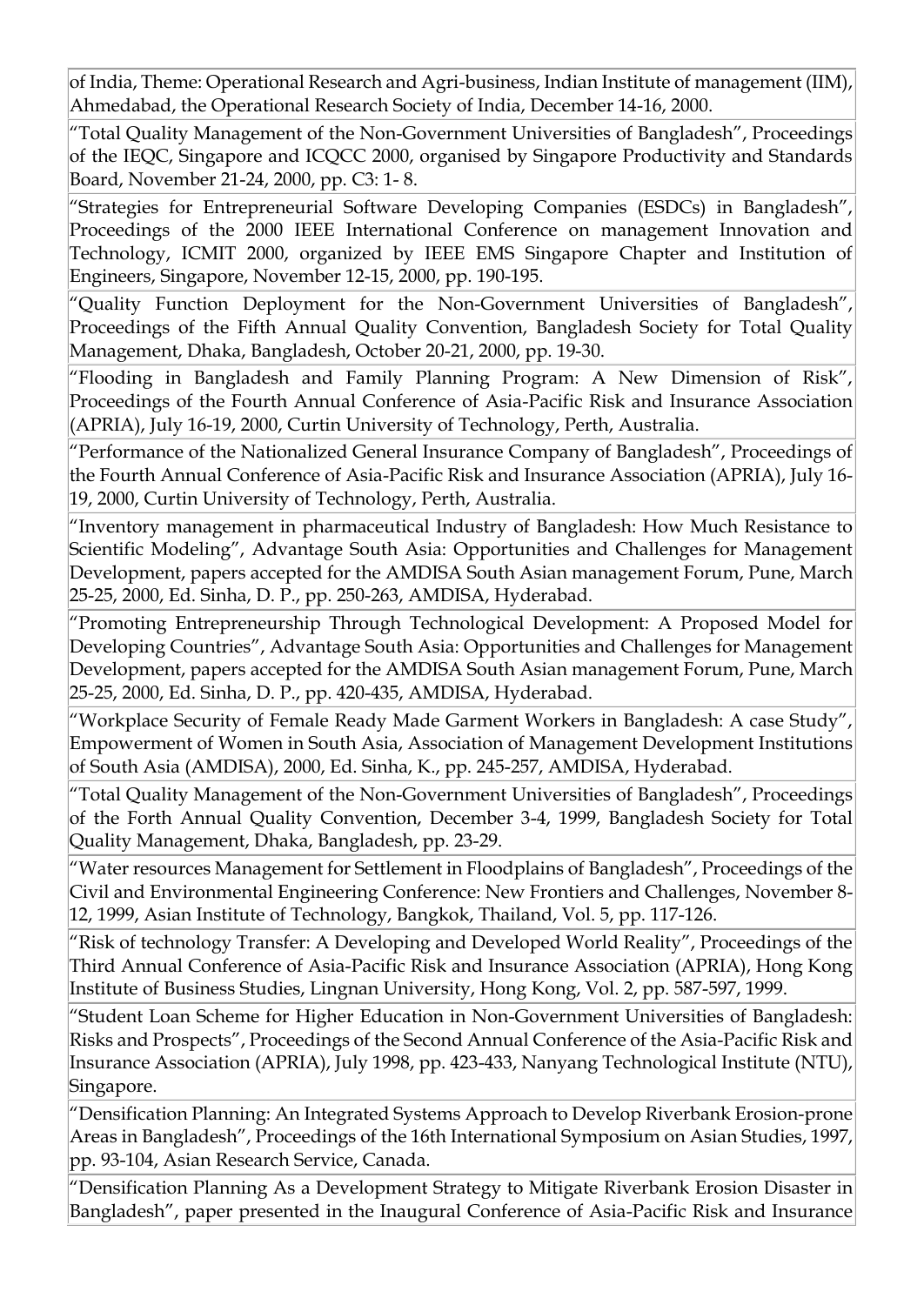of India, Theme: Operational Research and Agri-business, Indian Institute of management (IIM), Ahmedabad, the Operational Research Society of India, December 14-16, 2000.

"Total Quality Management of the Non-Government Universities of Bangladesh", Proceedings of the IEQC, Singapore and ICQCC 2000, organised by Singapore Productivity and Standards Board, November 21-24, 2000, pp. C3: 1- 8.

"Strategies for Entrepreneurial Software Developing Companies (ESDCs) in Bangladesh", Proceedings of the 2000 IEEE International Conference on management Innovation and Technology, ICMIT 2000, organized by IEEE EMS Singapore Chapter and Institution of Engineers, Singapore, November 12-15, 2000, pp. 190-195.

"Quality Function Deployment for the Non-Government Universities of Bangladesh", Proceedings of the Fifth Annual Quality Convention, Bangladesh Society for Total Quality Management, Dhaka, Bangladesh, October 20-21, 2000, pp. 19-30.

"Flooding in Bangladesh and Family Planning Program: A New Dimension of Risk", Proceedings of the Fourth Annual Conference of Asia-Pacific Risk and Insurance Association (APRIA), July 16-19, 2000, Curtin University of Technology, Perth, Australia.

"Performance of the Nationalized General Insurance Company of Bangladesh", Proceedings of the Fourth Annual Conference of Asia-Pacific Risk and Insurance Association (APRIA), July 16- 19, 2000, Curtin University of Technology, Perth, Australia.

"Inventory management in pharmaceutical Industry of Bangladesh: How Much Resistance to Scientific Modeling", Advantage South Asia: Opportunities and Challenges for Management Development, papers accepted for the AMDISA South Asian management Forum, Pune, March 25-25, 2000, Ed. Sinha, D. P., pp. 250-263, AMDISA, Hyderabad.

"Promoting Entrepreneurship Through Technological Development: A Proposed Model for Developing Countries", Advantage South Asia: Opportunities and Challenges for Management Development, papers accepted for the AMDISA South Asian management Forum, Pune, March 25-25, 2000, Ed. Sinha, D. P., pp. 420-435, AMDISA, Hyderabad.

"Workplace Security of Female Ready Made Garment Workers in Bangladesh: A case Study", Empowerment of Women in South Asia, Association of Management Development Institutions of South Asia (AMDISA), 2000, Ed. Sinha, K., pp. 245-257, AMDISA, Hyderabad.

"Total Quality Management of the Non-Government Universities of Bangladesh", Proceedings of the Forth Annual Quality Convention, December 3-4, 1999, Bangladesh Society for Total Quality Management, Dhaka, Bangladesh, pp. 23-29.

"Water resources Management for Settlement in Floodplains of Bangladesh", Proceedings of the Civil and Environmental Engineering Conference: New Frontiers and Challenges, November 8- 12, 1999, Asian Institute of Technology, Bangkok, Thailand, Vol. 5, pp. 117-126.

"Risk of technology Transfer: A Developing and Developed World Reality", Proceedings of the Third Annual Conference of Asia-Pacific Risk and Insurance Association (APRIA), Hong Kong Institute of Business Studies, Lingnan University, Hong Kong, Vol. 2, pp. 587-597, 1999.

"Student Loan Scheme for Higher Education in Non-Government Universities of Bangladesh: Risks and Prospects", Proceedings of the Second Annual Conference of the Asia-Pacific Risk and Insurance Association (APRIA), July 1998, pp. 423-433, Nanyang Technological Institute (NTU), Singapore.

"Densification Planning: An Integrated Systems Approach to Develop Riverbank Erosion-prone Areas in Bangladesh", Proceedings of the 16th International Symposium on Asian Studies, 1997, pp. 93-104, Asian Research Service, Canada.

"Densification Planning As a Development Strategy to Mitigate Riverbank Erosion Disaster in Bangladesh", paper presented in the Inaugural Conference of Asia-Pacific Risk and Insurance